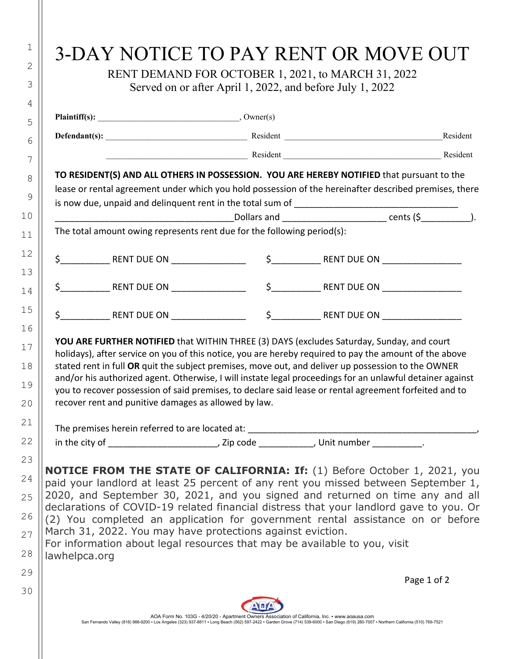|                                                                                                                                                                                                                                                                                                                                                                                                                                                                                                                                                                                                | Served on or after April 1, 2022, and before July 1, 2022 |                                                                                                 |             |
|------------------------------------------------------------------------------------------------------------------------------------------------------------------------------------------------------------------------------------------------------------------------------------------------------------------------------------------------------------------------------------------------------------------------------------------------------------------------------------------------------------------------------------------------------------------------------------------------|-----------------------------------------------------------|-------------------------------------------------------------------------------------------------|-------------|
|                                                                                                                                                                                                                                                                                                                                                                                                                                                                                                                                                                                                |                                                           |                                                                                                 |             |
|                                                                                                                                                                                                                                                                                                                                                                                                                                                                                                                                                                                                |                                                           |                                                                                                 | Resident    |
|                                                                                                                                                                                                                                                                                                                                                                                                                                                                                                                                                                                                |                                                           | Resident Resident Resident Resident Resident                                                    |             |
| TO RESIDENT(S) AND ALL OTHERS IN POSSESSION. YOU ARE HEREBY NOTIFIED that pursuant to the<br>lease or rental agreement under which you hold possession of the hereinafter described premises, there                                                                                                                                                                                                                                                                                                                                                                                            |                                                           |                                                                                                 |             |
|                                                                                                                                                                                                                                                                                                                                                                                                                                                                                                                                                                                                |                                                           | ________________________Dollars and _________________________________cents (\$_______________). |             |
| The total amount owing represents rent due for the following period(s):                                                                                                                                                                                                                                                                                                                                                                                                                                                                                                                        |                                                           |                                                                                                 |             |
|                                                                                                                                                                                                                                                                                                                                                                                                                                                                                                                                                                                                |                                                           |                                                                                                 |             |
|                                                                                                                                                                                                                                                                                                                                                                                                                                                                                                                                                                                                |                                                           |                                                                                                 |             |
|                                                                                                                                                                                                                                                                                                                                                                                                                                                                                                                                                                                                |                                                           |                                                                                                 |             |
| holidays), after service on you of this notice, you are hereby required to pay the amount of the above<br>stated rent in full OR quit the subject premises, move out, and deliver up possession to the OWNER<br>and/or his authorized agent. Otherwise, I will instate legal proceedings for an unlawful detainer against<br>you to recover possession of said premises, to declare said lease or rental agreement forfeited and to<br>recover rent and punitive damages as allowed by law.                                                                                                    |                                                           |                                                                                                 |             |
|                                                                                                                                                                                                                                                                                                                                                                                                                                                                                                                                                                                                |                                                           |                                                                                                 |             |
|                                                                                                                                                                                                                                                                                                                                                                                                                                                                                                                                                                                                |                                                           |                                                                                                 |             |
| <b>NOTICE FROM THE STATE OF CALIFORNIA: If:</b> (1) Before October 1, 2021, you<br>paid your landlord at least 25 percent of any rent you missed between September 1,<br>2020, and September 30, 2021, and you signed and returned on time any and all<br>declarations of COVID-19 related financial distress that your landlord gave to you. Or<br>(2) You completed an application for government rental assistance on or before<br>March 31, 2022. You may have protections against eviction.<br>For information about legal resources that may be available to you, visit<br>lawhelpca.org |                                                           |                                                                                                 |             |
|                                                                                                                                                                                                                                                                                                                                                                                                                                                                                                                                                                                                |                                                           |                                                                                                 | Page 1 of 2 |
|                                                                                                                                                                                                                                                                                                                                                                                                                                                                                                                                                                                                |                                                           |                                                                                                 |             |
|                                                                                                                                                                                                                                                                                                                                                                                                                                                                                                                                                                                                |                                                           |                                                                                                 |             |

1

2

3

4

5

6

7

8

9

10

11

12

13

14

15

16

17

18

19

20

21

22

23

24

25

26

27

28

29

30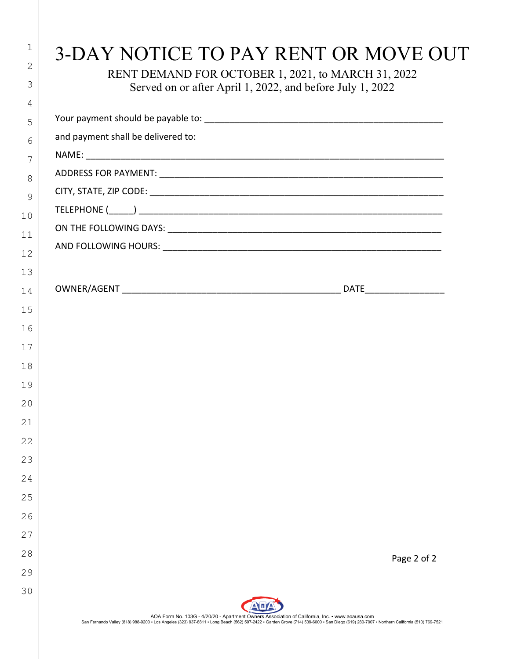|                                    | Served on or after April 1, 2022, and before July 1, 2022 |
|------------------------------------|-----------------------------------------------------------|
|                                    |                                                           |
| and payment shall be delivered to: |                                                           |
|                                    |                                                           |
|                                    |                                                           |
|                                    |                                                           |
|                                    |                                                           |
|                                    |                                                           |
|                                    |                                                           |
|                                    |                                                           |
|                                    |                                                           |
|                                    |                                                           |
|                                    |                                                           |
|                                    |                                                           |
|                                    |                                                           |
|                                    |                                                           |
|                                    |                                                           |
|                                    |                                                           |
|                                    |                                                           |
|                                    |                                                           |
|                                    |                                                           |
|                                    |                                                           |
|                                    |                                                           |
|                                    |                                                           |
|                                    | Page 2 of 2                                               |
|                                    |                                                           |